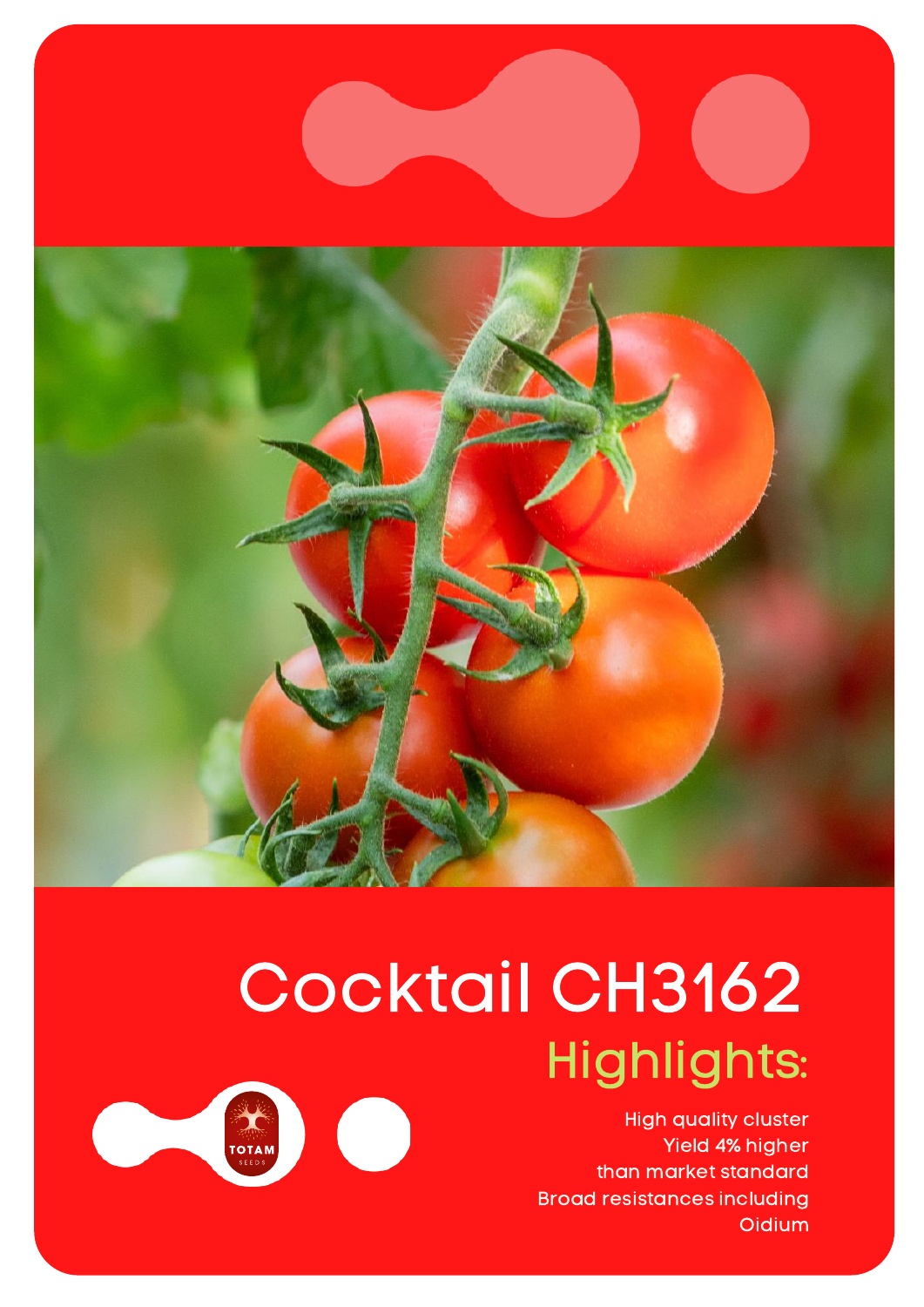

## Cocktail CH3162 Highlights:

High quality cluster Yield 4% higher than market standard Broad resistances including **Oidium**